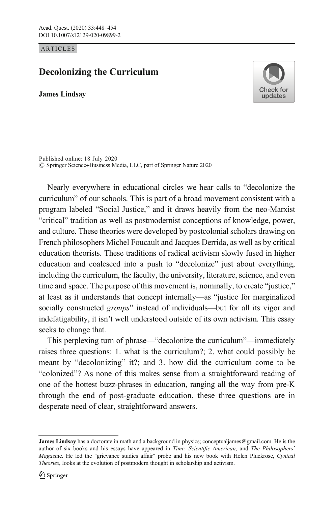ARTICLES

## Decolonizing the Curriculum

James Lindsay



© Springer Science+Business Media, LLC, part of Springer Nature 2020 Published online: 18 July 2020

Nearly everywhere in educational circles we hear calls to "decolonize the curriculum" of our schools. This is part of a broad movement consistent with a program labeled "Social Justice," and it draws heavily from the neo-Marxist "critical" tradition as well as postmodernist conceptions of knowledge, power, and culture. These theories were developed by postcolonial scholars drawing on French philosophers Michel Foucault and Jacques Derrida, as well as by critical education theorists. These traditions of radical activism slowly fused in higher education and coalesced into a push to "decolonize" just about everything, including the curriculum, the faculty, the university, literature, science, and even time and space. The purpose of this movement is, nominally, to create "justice," at least as it understands that concept internally—as "justice for marginalized socially constructed *groups*" instead of individuals—but for all its vigor and indefatigability, it isn't well understood outside of its own activism. This essay seeks to change that.

This perplexing turn of phrase—"decolonize the curriculum"—immediately raises three questions: 1. what is the curriculum?; 2. what could possibly be meant by "decolonizing" it?; and 3. how did the curriculum come to be "colonized"? As none of this makes sense from a straightforward reading of one of the hottest buzz-phrases in education, ranging all the way from pre-K through the end of post-graduate education, these three questions are in desperate need of clear, straightforward answers.

**James Lindsay** has a doctorate in math and a background in physics; conceptualjames@gmail.com. He is the author of six books and his essays have appeared in Time, Scientific American, and The Philosophers' Magazine. He led the "grievance studies affair" probe and his new book with Helen Pluckrose, Cynical Theories, looks at the evolution of postmodern thought in scholarship and activism.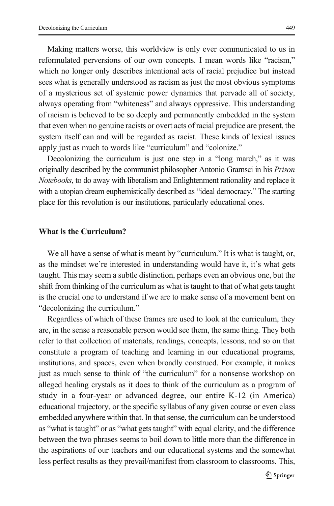Making matters worse, this worldview is only ever communicated to us in reformulated perversions of our own concepts. I mean words like "racism," which no longer only describes intentional acts of racial prejudice but instead sees what is generally understood as racism as just the most obvious symptoms of a mysterious set of systemic power dynamics that pervade all of society, always operating from "whiteness" and always oppressive. This understanding of racism is believed to be so deeply and permanently embedded in the system that even when no genuine racists or overt acts of racial prejudice are present, the system itself can and will be regarded as racist. These kinds of lexical issues apply just as much to words like "curriculum" and "colonize."

Decolonizing the curriculum is just one step in a "long march," as it was originally described by the communist philosopher Antonio Gramsci in his Prison Notebooks, to do away with liberalism and Enlightenment rationality and replace it with a utopian dream euphemistically described as "ideal democracy." The starting place for this revolution is our institutions, particularly educational ones.

## What is the Curriculum?

We all have a sense of what is meant by "curriculum." It is what is taught, or, as the mindset we're interested in understanding would have it, it's what gets taught. This may seem a subtle distinction, perhaps even an obvious one, but the shift from thinking of the curriculum as what is taught to that of what gets taught is the crucial one to understand if we are to make sense of a movement bent on "decolonizing the curriculum."

Regardless of which of these frames are used to look at the curriculum, they are, in the sense a reasonable person would see them, the same thing. They both refer to that collection of materials, readings, concepts, lessons, and so on that constitute a program of teaching and learning in our educational programs, institutions, and spaces, even when broadly construed. For example, it makes just as much sense to think of "the curriculum" for a nonsense workshop on alleged healing crystals as it does to think of the curriculum as a program of study in a four-year or advanced degree, our entire K-12 (in America) educational trajectory, or the specific syllabus of any given course or even class embedded anywhere within that. In that sense, the curriculum can be understood as "what is taught" or as "what gets taught" with equal clarity, and the difference between the two phrases seems to boil down to little more than the difference in the aspirations of our teachers and our educational systems and the somewhat less perfect results as they prevail/manifest from classroom to classrooms. This,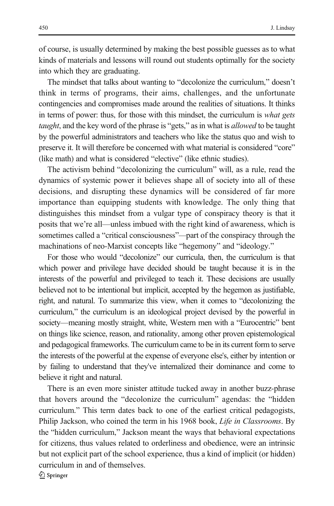of course, is usually determined by making the best possible guesses as to what kinds of materials and lessons will round out students optimally for the society into which they are graduating.

The mindset that talks about wanting to "decolonize the curriculum," doesn't think in terms of programs, their aims, challenges, and the unfortunate contingencies and compromises made around the realities of situations. It thinks in terms of power: thus, for those with this mindset, the curriculum is what gets taught, and the key word of the phrase is "gets," as in what is *allowed* to be taught by the powerful administrators and teachers who like the status quo and wish to preserve it. It will therefore be concerned with what material is considered "core" (like math) and what is considered "elective" (like ethnic studies).

The activism behind "decolonizing the curriculum" will, as a rule, read the dynamics of systemic power it believes shape all of society into all of these decisions, and disrupting these dynamics will be considered of far more importance than equipping students with knowledge. The only thing that distinguishes this mindset from a vulgar type of conspiracy theory is that it posits that we're all—unless imbued with the right kind of awareness, which is sometimes called a "critical consciousness"—part of the conspiracy through the machinations of neo-Marxist concepts like "hegemony" and "ideology."

For those who would "decolonize" our curricula, then, the curriculum is that which power and privilege have decided should be taught because it is in the interests of the powerful and privileged to teach it. These decisions are usually believed not to be intentional but implicit, accepted by the hegemon as justifiable, right, and natural. To summarize this view, when it comes to "decolonizing the curriculum," the curriculum is an ideological project devised by the powerful in society—meaning mostly straight, white, Western men with a "Eurocentric" bent on things like science, reason, and rationality, among other proven epistemological and pedagogical frameworks. The curriculum came to be in its current form to serve the interests of the powerful at the expense of everyone else's, either by intention or by failing to understand that they've internalized their dominance and come to believe it right and natural.

There is an even more sinister attitude tucked away in another buzz-phrase that hovers around the "decolonize the curriculum" agendas: the "hidden curriculum." This term dates back to one of the earliest critical pedagogists, Philip Jackson, who coined the term in his 1968 book, Life in Classrooms. By the "hidden curriculum," Jackson meant the ways that behavioral expectations for citizens, thus values related to orderliness and obedience, were an intrinsic but not explicit part of the school experience, thus a kind of implicit (or hidden) curriculum in and of themselves.  $\textcircled{2}$  Springer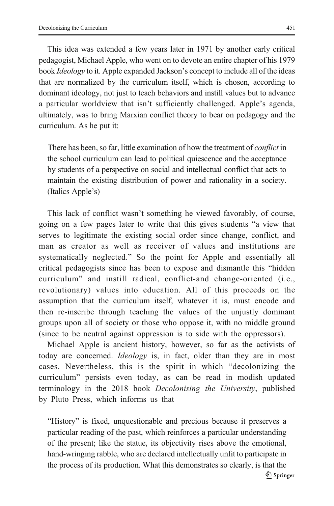This idea was extended a few years later in 1971 by another early critical pedagogist, Michael Apple, who went on to devote an entire chapter of his 1979 book Ideology to it. Apple expanded Jackson's concept to include all of the ideas that are normalized by the curriculum itself, which is chosen, according to dominant ideology, not just to teach behaviors and instill values but to advance a particular worldview that isn't sufficiently challenged. Apple's agenda, ultimately, was to bring Marxian conflict theory to bear on pedagogy and the curriculum. As he put it:

There has been, so far, little examination of how the treatment of *conflict* in the school curriculum can lead to political quiescence and the acceptance by students of a perspective on social and intellectual conflict that acts to maintain the existing distribution of power and rationality in a society. (Italics Apple's)

This lack of conflict wasn't something he viewed favorably, of course, going on a few pages later to write that this gives students "a view that serves to legitimate the existing social order since change, conflict, and man as creator as well as receiver of values and institutions are systematically neglected." So the point for Apple and essentially all critical pedagogists since has been to expose and dismantle this "hidden curriculum" and instill radical, conflict-and change-oriented (i.e., revolutionary) values into education. All of this proceeds on the assumption that the curriculum itself, whatever it is, must encode and then re-inscribe through teaching the values of the unjustly dominant groups upon all of society or those who oppose it, with no middle ground (since to be neutral against oppression is to side with the oppressors).

Michael Apple is ancient history, however, so far as the activists of today are concerned. Ideology is, in fact, older than they are in most cases. Nevertheless, this is the spirit in which "decolonizing the curriculum" persists even today, as can be read in modish updated terminology in the 2018 book Decolonising the University, published by Pluto Press, which informs us that

"History" is fixed, unquestionable and precious because it preserves a particular reading of the past, which reinforces a particular understanding of the present; like the statue, its objectivity rises above the emotional, hand-wringing rabble, who are declared intellectually unfit to participate in the process of its production. What this demonstrates so clearly, is that the  $\mathcal{D}$  Springer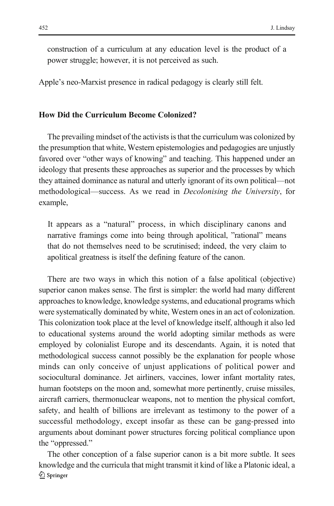construction of a curriculum at any education level is the product of a power struggle; however, it is not perceived as such.

Apple's neo-Marxist presence in radical pedagogy is clearly still felt.

## How Did the Curriculum Become Colonized?

The prevailing mindset of the activists is that the curriculum was colonized by the presumption that white, Western epistemologies and pedagogies are unjustly favored over "other ways of knowing" and teaching. This happened under an ideology that presents these approaches as superior and the processes by which they attained dominance as natural and utterly ignorant of its own political—not methodological—success. As we read in Decolonising the University, for example,

It appears as a "natural" process, in which disciplinary canons and narrative framings come into being through apolitical, "rational" means that do not themselves need to be scrutinised; indeed, the very claim to apolitical greatness is itself the defining feature of the canon.

There are two ways in which this notion of a false apolitical (objective) superior canon makes sense. The first is simpler: the world had many different approaches to knowledge, knowledge systems, and educational programs which were systematically dominated by white, Western ones in an act of colonization. This colonization took place at the level of knowledge itself, although it also led to educational systems around the world adopting similar methods as were employed by colonialist Europe and its descendants. Again, it is noted that methodological success cannot possibly be the explanation for people whose minds can only conceive of unjust applications of political power and sociocultural dominance. Jet airliners, vaccines, lower infant mortality rates, human footsteps on the moon and, somewhat more pertinently, cruise missiles, aircraft carriers, thermonuclear weapons, not to mention the physical comfort, safety, and health of billions are irrelevant as testimony to the power of a successful methodology, except insofar as these can be gang-pressed into arguments about dominant power structures forcing political compliance upon the "oppressed."

The other conception of a false superior canon is a bit more subtle. It sees knowledge and the curricula that might transmit it kind of like a Platonic ideal, a  $\textcircled{2}$  Springer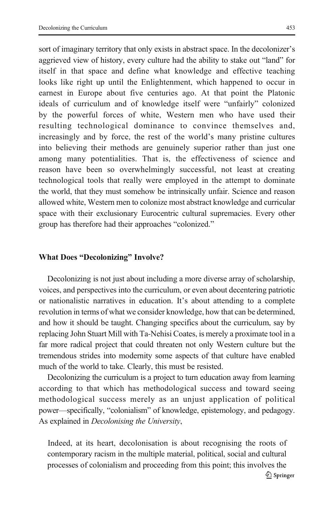sort of imaginary territory that only exists in abstract space. In the decolonizer's aggrieved view of history, every culture had the ability to stake out "land" for itself in that space and define what knowledge and effective teaching looks like right up until the Enlightenment, which happened to occur in earnest in Europe about five centuries ago. At that point the Platonic ideals of curriculum and of knowledge itself were "unfairly" colonized by the powerful forces of white, Western men who have used their resulting technological dominance to convince themselves and, increasingly and by force, the rest of the world's many pristine cultures into believing their methods are genuinely superior rather than just one among many potentialities. That is, the effectiveness of science and reason have been so overwhelmingly successful, not least at creating technological tools that really were employed in the attempt to dominate the world, that they must somehow be intrinsically unfair. Science and reason allowed white, Western men to colonize most abstract knowledge and curricular space with their exclusionary Eurocentric cultural supremacies. Every other group has therefore had their approaches "colonized."

## What Does "Decolonizing" Involve?

Decolonizing is not just about including a more diverse array of scholarship, voices, and perspectives into the curriculum, or even about decentering patriotic or nationalistic narratives in education. It's about attending to a complete revolution in terms of what we consider knowledge, how that can be determined, and how it should be taught. Changing specifics about the curriculum, say by replacing John Stuart Mill with Ta-Nehisi Coates, is merely a proximate tool in a far more radical project that could threaten not only Western culture but the tremendous strides into modernity some aspects of that culture have enabled much of the world to take. Clearly, this must be resisted.

Decolonizing the curriculum is a project to turn education away from learning according to that which has methodological success and toward seeing methodological success merely as an unjust application of political power—specifically, "colonialism" of knowledge, epistemology, and pedagogy. As explained in Decolonising the University,

Indeed, at its heart, decolonisation is about recognising the roots of contemporary racism in the multiple material, political, social and cultural processes of colonialism and proceeding from this point; this involves the  $\mathcal{D}$  Springer